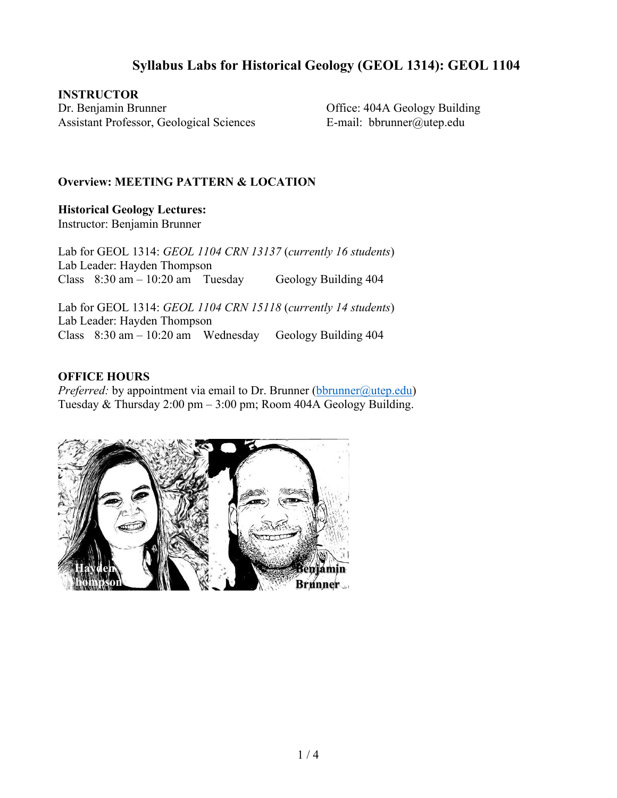## **Syllabus Labs for Historical Geology (GEOL 1314): GEOL 1104**

**INSTRUCTOR** Dr. Benjamin Brunner Assistant Professor, Geological Sciences

Office: 404A Geology Building E-mail: bbrunner@utep.edu

#### **Overview: MEETING PATTERN & LOCATION**

**Historical Geology Lectures:** Instructor: Benjamin Brunner

Lab for GEOL 1314: *GEOL 1104 CRN 13137* (*currently 16 students*) Lab Leader: Hayden Thompson Class  $8:30 \text{ am} - 10:20 \text{ am}$  Tuesday Geology Building 404

Lab for GEOL 1314: *GEOL 1104 CRN 15118* (*currently 14 students*) Lab Leader: Hayden Thompson Class 8:30 am – 10:20 am Wednesday Geology Building 404

#### **OFFICE HOURS**

*Preferred:* by appointment via email to Dr. Brunner (bbrunner@utep.edu) Tuesday & Thursday 2:00 pm – 3:00 pm; Room 404A Geology Building.

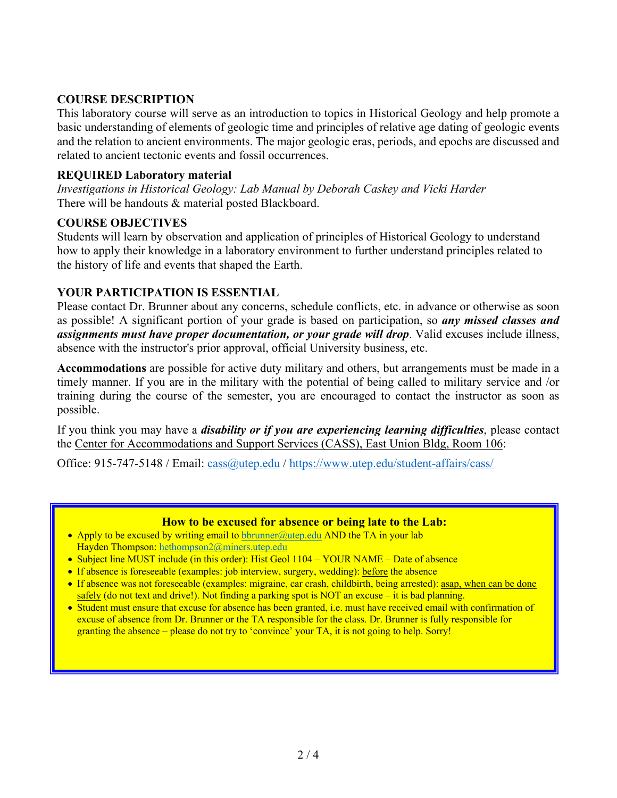## **COURSE DESCRIPTION**

This laboratory course will serve as an introduction to topics in Historical Geology and help promote a basic understanding of elements of geologic time and principles of relative age dating of geologic events and the relation to ancient environments. The major geologic eras, periods, and epochs are discussed and related to ancient tectonic events and fossil occurrences.

## **REQUIRED Laboratory material**

*Investigations in Historical Geology: Lab Manual by Deborah Caskey and Vicki Harder*  There will be handouts & material posted Blackboard.

#### **COURSE OBJECTIVES**

Students will learn by observation and application of principles of Historical Geology to understand how to apply their knowledge in a laboratory environment to further understand principles related to the history of life and events that shaped the Earth.

#### **YOUR PARTICIPATION IS ESSENTIAL**

Please contact Dr. Brunner about any concerns, schedule conflicts, etc. in advance or otherwise as soon as possible! A significant portion of your grade is based on participation, so *any missed classes and assignments must have proper documentation, or your grade will drop*. Valid excuses include illness, absence with the instructor's prior approval, official University business, etc.

**Accommodations** are possible for active duty military and others, but arrangements must be made in a timely manner. If you are in the military with the potential of being called to military service and /or training during the course of the semester, you are encouraged to contact the instructor as soon as possible.

If you think you may have a *disability or if you are experiencing learning difficulties*, please contact the Center for Accommodations and Support Services (CASS), East Union Bldg, Room 106:

Office: 915-747-5148 / Email: cass@utep.edu / https://www.utep.edu/student-affairs/cass/

#### **How to be excused for absence or being late to the Lab:**

- Apply to be excused by writing email to bbrunner@utep.edu AND the TA in your lab Hayden Thompson: hethompson2@miners.utep.edu
- Subject line MUST include (in this order): Hist Geol 1104 YOUR NAME Date of absence
- If absence is foreseeable (examples: job interview, surgery, wedding): before the absence
- If absence was not foreseeable (examples: migraine, car crash, childbirth, being arrested): asap, when can be done safely (do not text and drive!). Not finding a parking spot is NOT an excuse – it is bad planning.
- Student must ensure that excuse for absence has been granted, i.e. must have received email with confirmation of excuse of absence from Dr. Brunner or the TA responsible for the class. Dr. Brunner is fully responsible for granting the absence – please do not try to 'convince' your TA, it is not going to help. Sorry!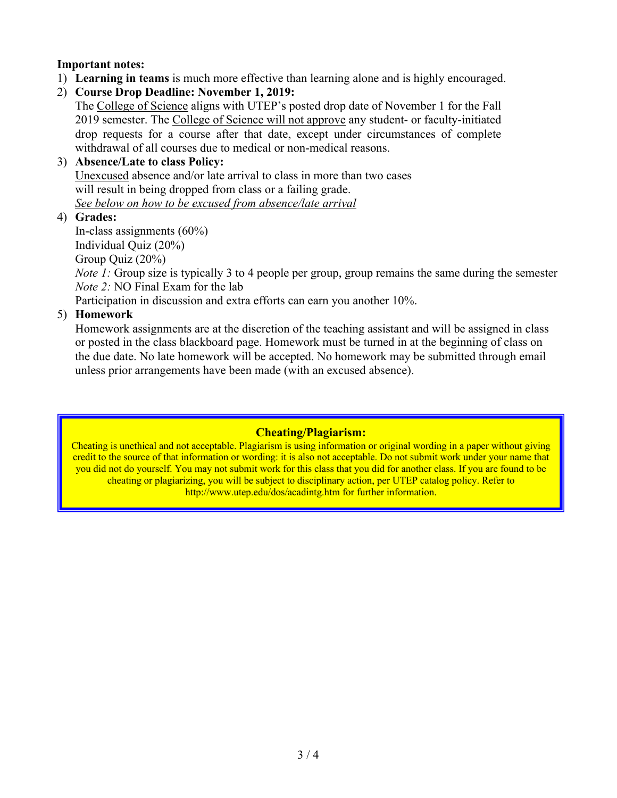## **Important notes:**

- 1) **Learning in teams** is much more effective than learning alone and is highly encouraged.
- 2) **Course Drop Deadline: November 1, 2019:**

The College of Science aligns with UTEP's posted drop date of November 1 for the Fall 2019 semester. The College of Science will not approve any student- or faculty-initiated drop requests for a course after that date, except under circumstances of complete withdrawal of all courses due to medical or non-medical reasons.

#### 3) **Absence/Late to class Policy:**  Unexcused absence and/or late arrival to class in more than two cases will result in being dropped from class or a failing grade. *See below on how to be excused from absence/late arrival*

4) **Grades:**

In-class assignments (60%) Individual Quiz (20%) Group Quiz (20%)

*Note 1:* Group size is typically 3 to 4 people per group, group remains the same during the semester *Note 2:* NO Final Exam for the lab

Participation in discussion and extra efforts can earn you another 10%.

## 5) **Homework**

Homework assignments are at the discretion of the teaching assistant and will be assigned in class or posted in the class blackboard page. Homework must be turned in at the beginning of class on the due date. No late homework will be accepted. No homework may be submitted through email unless prior arrangements have been made (with an excused absence).

## **Cheating/Plagiarism:**

Cheating is unethical and not acceptable. Plagiarism is using information or original wording in a paper without giving credit to the source of that information or wording: it is also not acceptable. Do not submit work under your name that you did not do yourself. You may not submit work for this class that you did for another class. If you are found to be cheating or plagiarizing, you will be subject to disciplinary action, per UTEP catalog policy. Refer to http://www.utep.edu/dos/acadintg.htm for further information.